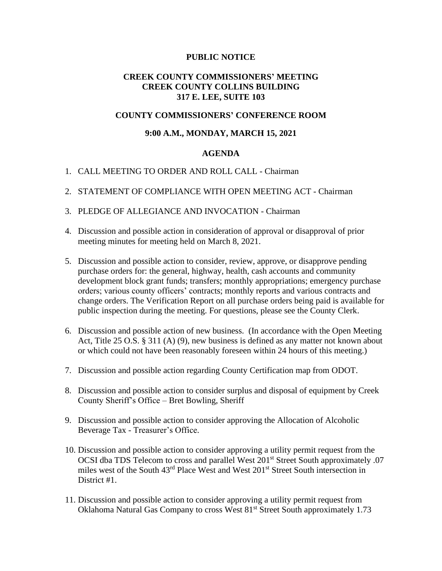### **PUBLIC NOTICE**

# **CREEK COUNTY COMMISSIONERS' MEETING CREEK COUNTY COLLINS BUILDING 317 E. LEE, SUITE 103**

## **COUNTY COMMISSIONERS' CONFERENCE ROOM**

## **9:00 A.M., MONDAY, MARCH 15, 2021**

#### **AGENDA**

- 1. CALL MEETING TO ORDER AND ROLL CALL Chairman
- 2. STATEMENT OF COMPLIANCE WITH OPEN MEETING ACT Chairman
- 3. PLEDGE OF ALLEGIANCE AND INVOCATION Chairman
- 4. Discussion and possible action in consideration of approval or disapproval of prior meeting minutes for meeting held on March 8, 2021.
- 5. Discussion and possible action to consider, review, approve, or disapprove pending purchase orders for: the general, highway, health, cash accounts and community development block grant funds; transfers; monthly appropriations; emergency purchase orders; various county officers' contracts; monthly reports and various contracts and change orders. The Verification Report on all purchase orders being paid is available for public inspection during the meeting. For questions, please see the County Clerk.
- 6. Discussion and possible action of new business. (In accordance with the Open Meeting Act, Title 25 O.S. § 311 (A) (9), new business is defined as any matter not known about or which could not have been reasonably foreseen within 24 hours of this meeting.)
- 7. Discussion and possible action regarding County Certification map from ODOT.
- 8. Discussion and possible action to consider surplus and disposal of equipment by Creek County Sheriff's Office – Bret Bowling, Sheriff
- 9. Discussion and possible action to consider approving the Allocation of Alcoholic Beverage Tax - Treasurer's Office.
- 10. Discussion and possible action to consider approving a utility permit request from the OCSI dba TDS Telecom to cross and parallel West 201<sup>st</sup> Street South approximately .07 miles west of the South 43rd Place West and West 201st Street South intersection in District #1.
- 11. Discussion and possible action to consider approving a utility permit request from Oklahoma Natural Gas Company to cross West 81<sup>st</sup> Street South approximately 1.73